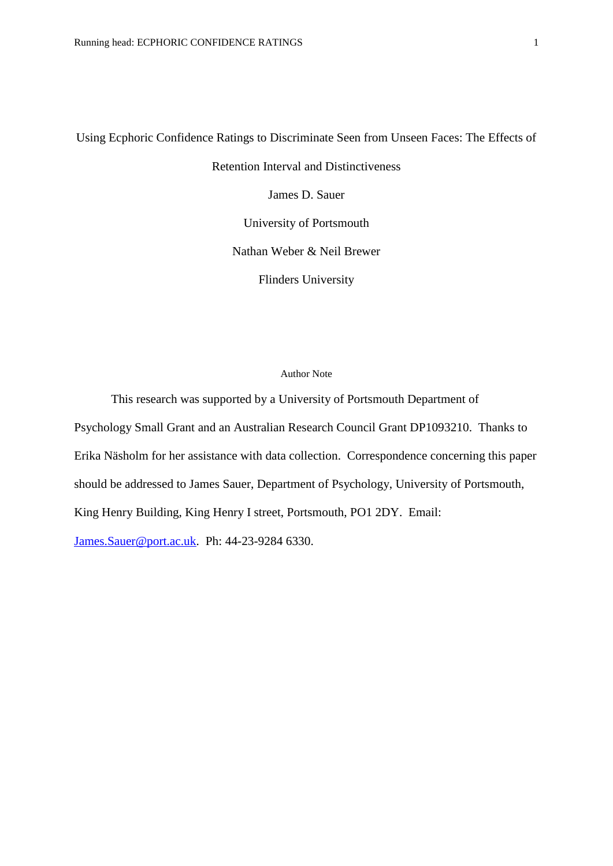Using Ecphoric Confidence Ratings to Discriminate Seen from Unseen Faces: The Effects of Retention Interval and Distinctiveness James D. Sauer University of Portsmouth Nathan Weber & Neil Brewer Flinders University

#### Author Note

This research was supported by a University of Portsmouth Department of Psychology Small Grant and an Australian Research Council Grant DP1093210. Thanks to Erika Näsholm for her assistance with data collection. Correspondence concerning this paper should be addressed to James Sauer, Department of Psychology, University of Portsmouth, King Henry Building, King Henry I street, Portsmouth, PO1 2DY. Email: [James.Sauer@port.ac.uk.](mailto:James.Sauer@port.ac.uk) Ph: 44-23-9284 6330.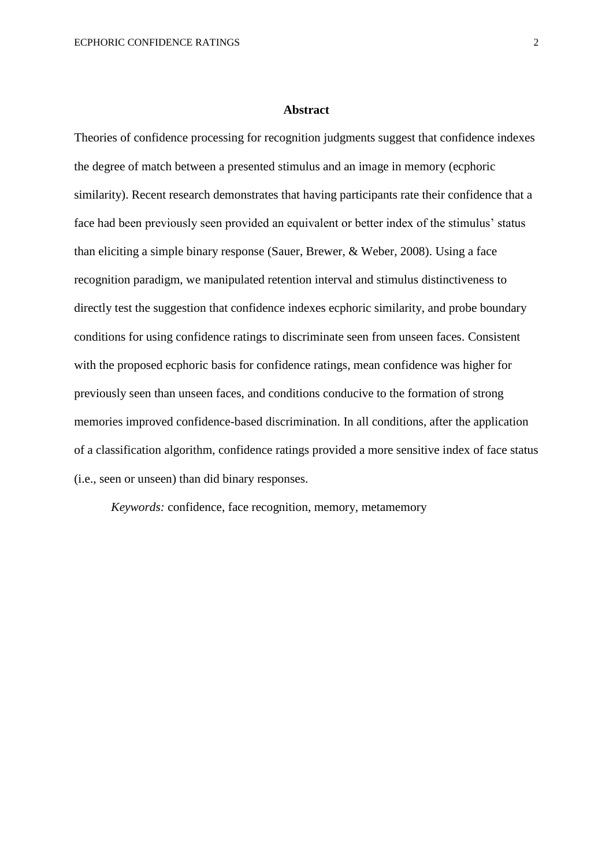#### **Abstract**

Theories of confidence processing for recognition judgments suggest that confidence indexes the degree of match between a presented stimulus and an image in memory (ecphoric similarity). Recent research demonstrates that having participants rate their confidence that a face had been previously seen provided an equivalent or better index of the stimulus' status than eliciting a simple binary response (Sauer, Brewer, & Weber, 2008). Using a face recognition paradigm, we manipulated retention interval and stimulus distinctiveness to directly test the suggestion that confidence indexes ecphoric similarity, and probe boundary conditions for using confidence ratings to discriminate seen from unseen faces. Consistent with the proposed ecphoric basis for confidence ratings, mean confidence was higher for previously seen than unseen faces, and conditions conducive to the formation of strong memories improved confidence-based discrimination. In all conditions, after the application of a classification algorithm, confidence ratings provided a more sensitive index of face status (i.e., seen or unseen) than did binary responses.

*Keywords:* confidence, face recognition, memory, metamemory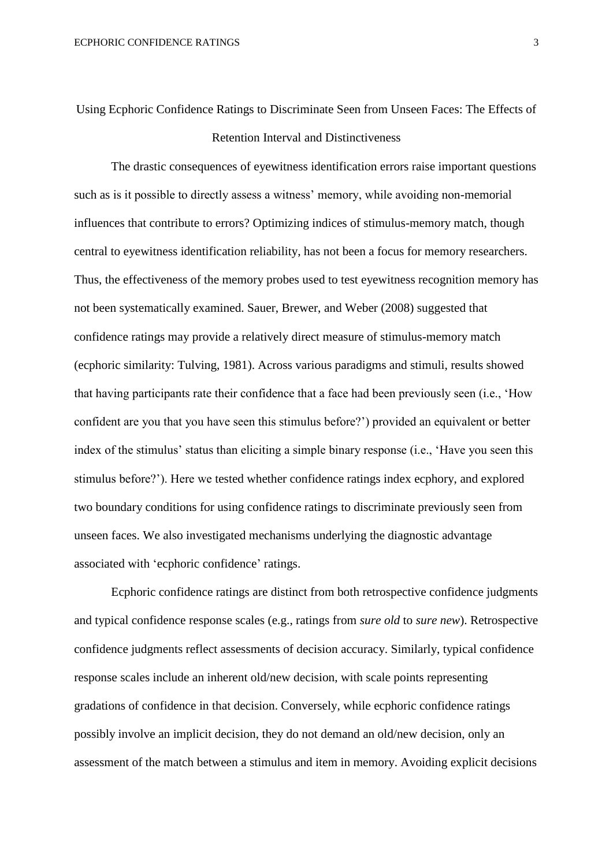# Using Ecphoric Confidence Ratings to Discriminate Seen from Unseen Faces: The Effects of Retention Interval and Distinctiveness

The drastic consequences of eyewitness identification errors raise important questions such as is it possible to directly assess a witness' memory, while avoiding non-memorial influences that contribute to errors? Optimizing indices of stimulus-memory match, though central to eyewitness identification reliability, has not been a focus for memory researchers. Thus, the effectiveness of the memory probes used to test eyewitness recognition memory has not been systematically examined. Sauer, Brewer, and Weber (2008) suggested that confidence ratings may provide a relatively direct measure of stimulus-memory match (ecphoric similarity: Tulving, 1981). Across various paradigms and stimuli, results showed that having participants rate their confidence that a face had been previously seen (i.e., 'How confident are you that you have seen this stimulus before?') provided an equivalent or better index of the stimulus' status than eliciting a simple binary response (i.e., 'Have you seen this stimulus before?'). Here we tested whether confidence ratings index ecphory, and explored two boundary conditions for using confidence ratings to discriminate previously seen from unseen faces. We also investigated mechanisms underlying the diagnostic advantage associated with 'ecphoric confidence' ratings.

Ecphoric confidence ratings are distinct from both retrospective confidence judgments and typical confidence response scales (e.g., ratings from *sure old* to *sure new*). Retrospective confidence judgments reflect assessments of decision accuracy. Similarly, typical confidence response scales include an inherent old/new decision, with scale points representing gradations of confidence in that decision. Conversely, while ecphoric confidence ratings possibly involve an implicit decision, they do not demand an old/new decision, only an assessment of the match between a stimulus and item in memory. Avoiding explicit decisions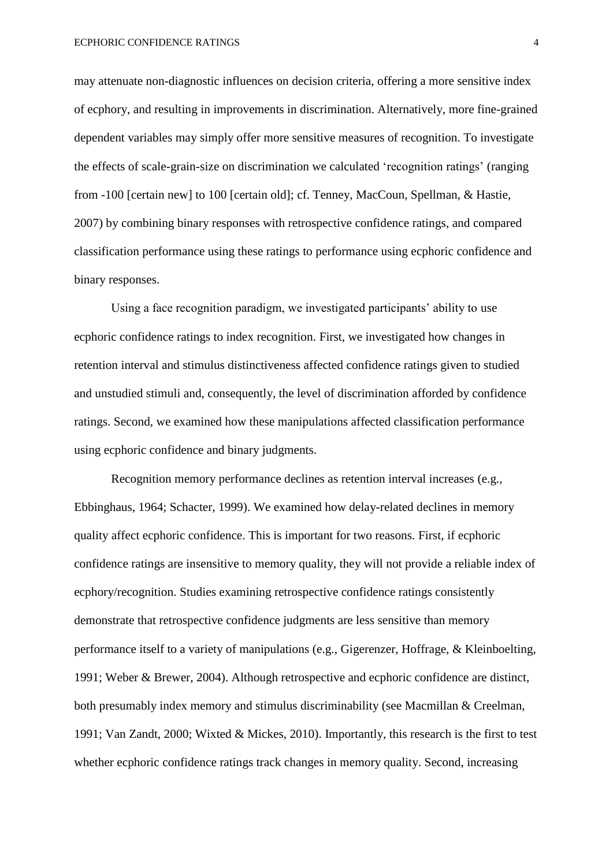may attenuate non-diagnostic influences on decision criteria, offering a more sensitive index of ecphory, and resulting in improvements in discrimination. Alternatively, more fine-grained dependent variables may simply offer more sensitive measures of recognition. To investigate the effects of scale-grain-size on discrimination we calculated 'recognition ratings' (ranging from -100 [certain new] to 100 [certain old]; cf. Tenney, MacCoun, Spellman, & Hastie, 2007) by combining binary responses with retrospective confidence ratings, and compared classification performance using these ratings to performance using ecphoric confidence and binary responses.

Using a face recognition paradigm, we investigated participants' ability to use ecphoric confidence ratings to index recognition. First, we investigated how changes in retention interval and stimulus distinctiveness affected confidence ratings given to studied and unstudied stimuli and, consequently, the level of discrimination afforded by confidence ratings. Second, we examined how these manipulations affected classification performance using ecphoric confidence and binary judgments.

Recognition memory performance declines as retention interval increases (e.g., Ebbinghaus, 1964; Schacter, 1999). We examined how delay-related declines in memory quality affect ecphoric confidence. This is important for two reasons. First, if ecphoric confidence ratings are insensitive to memory quality, they will not provide a reliable index of ecphory/recognition. Studies examining retrospective confidence ratings consistently demonstrate that retrospective confidence judgments are less sensitive than memory performance itself to a variety of manipulations (e.g., Gigerenzer, Hoffrage, & Kleinboelting, 1991; Weber & Brewer, 2004). Although retrospective and ecphoric confidence are distinct, both presumably index memory and stimulus discriminability (see Macmillan & Creelman, 1991; Van Zandt, 2000; Wixted & Mickes, 2010). Importantly, this research is the first to test whether ecphoric confidence ratings track changes in memory quality. Second, increasing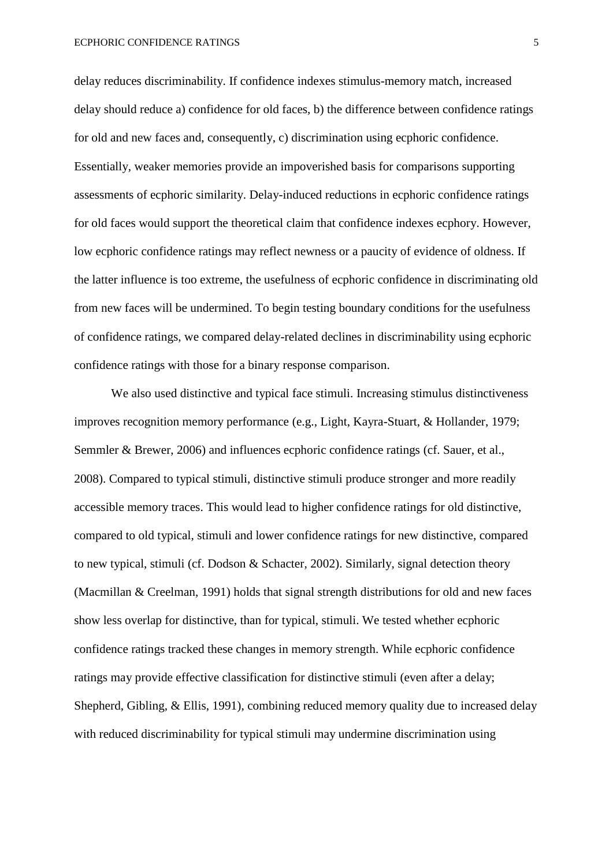delay reduces discriminability. If confidence indexes stimulus-memory match, increased delay should reduce a) confidence for old faces, b) the difference between confidence ratings for old and new faces and, consequently, c) discrimination using ecphoric confidence. Essentially, weaker memories provide an impoverished basis for comparisons supporting assessments of ecphoric similarity. Delay-induced reductions in ecphoric confidence ratings for old faces would support the theoretical claim that confidence indexes ecphory. However, low ecphoric confidence ratings may reflect newness or a paucity of evidence of oldness. If the latter influence is too extreme, the usefulness of ecphoric confidence in discriminating old from new faces will be undermined. To begin testing boundary conditions for the usefulness of confidence ratings, we compared delay-related declines in discriminability using ecphoric confidence ratings with those for a binary response comparison.

We also used distinctive and typical face stimuli. Increasing stimulus distinctiveness improves recognition memory performance (e.g., Light, Kayra-Stuart, & Hollander, 1979; Semmler & Brewer, 2006) and influences ecphoric confidence ratings (cf. Sauer, et al., 2008). Compared to typical stimuli, distinctive stimuli produce stronger and more readily accessible memory traces. This would lead to higher confidence ratings for old distinctive, compared to old typical, stimuli and lower confidence ratings for new distinctive, compared to new typical, stimuli (cf. Dodson & Schacter, 2002). Similarly, signal detection theory (Macmillan & Creelman, 1991) holds that signal strength distributions for old and new faces show less overlap for distinctive, than for typical, stimuli. We tested whether ecphoric confidence ratings tracked these changes in memory strength. While ecphoric confidence ratings may provide effective classification for distinctive stimuli (even after a delay; Shepherd, Gibling, & Ellis, 1991), combining reduced memory quality due to increased delay with reduced discriminability for typical stimuli may undermine discrimination using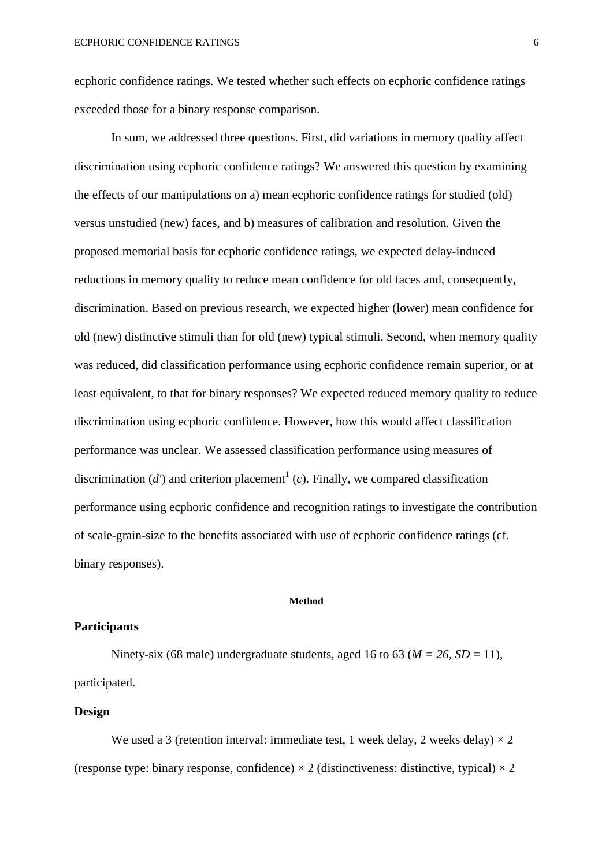ecphoric confidence ratings. We tested whether such effects on ecphoric confidence ratings exceeded those for a binary response comparison.

In sum, we addressed three questions. First, did variations in memory quality affect discrimination using ecphoric confidence ratings? We answered this question by examining the effects of our manipulations on a) mean ecphoric confidence ratings for studied (old) versus unstudied (new) faces, and b) measures of calibration and resolution. Given the proposed memorial basis for ecphoric confidence ratings, we expected delay-induced reductions in memory quality to reduce mean confidence for old faces and, consequently, discrimination. Based on previous research, we expected higher (lower) mean confidence for old (new) distinctive stimuli than for old (new) typical stimuli. Second, when memory quality was reduced, did classification performance using ecphoric confidence remain superior, or at least equivalent, to that for binary responses? We expected reduced memory quality to reduce discrimination using ecphoric confidence. However, how this would affect classification performance was unclear. We assessed classification performance using measures of discrimination  $(d')$  and criterion placement<sup>1</sup> (*c*). Finally, we compared classification performance using ecphoric confidence and recognition ratings to investigate the contribution of scale-grain-size to the benefits associated with use of ecphoric confidence ratings (cf. binary responses).

#### **Method**

### **Participants**

Ninety-six (68 male) undergraduate students, aged 16 to 63 ( $M = 26$ ,  $SD = 11$ ), participated.

### **Design**

We used a 3 (retention interval: immediate test, 1 week delay, 2 weeks delay)  $\times$  2 (response type: binary response, confidence)  $\times$  2 (distinctiveness: distinctive, typical)  $\times$  2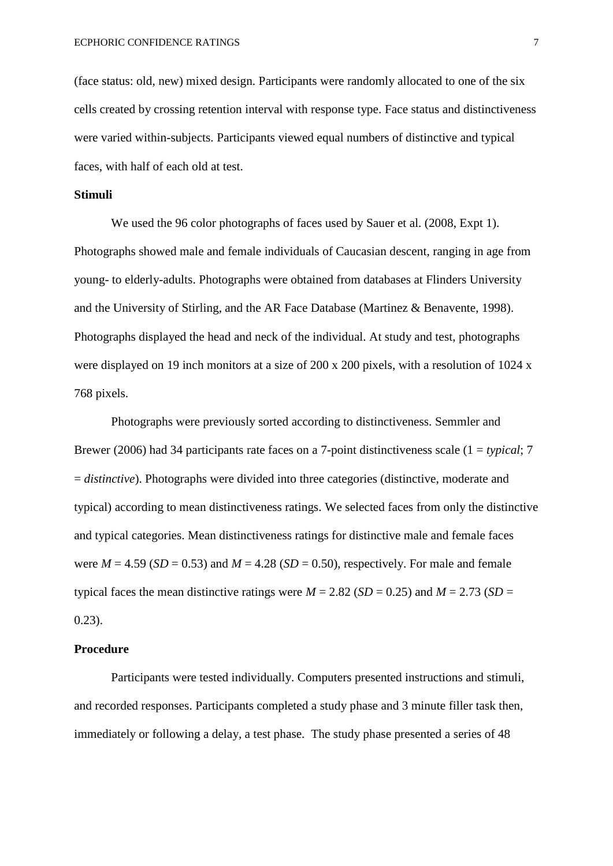(face status: old, new) mixed design. Participants were randomly allocated to one of the six cells created by crossing retention interval with response type. Face status and distinctiveness were varied within-subjects. Participants viewed equal numbers of distinctive and typical faces, with half of each old at test.

#### **Stimuli**

We used the 96 color photographs of faces used by Sauer et al. (2008, Expt 1). Photographs showed male and female individuals of Caucasian descent, ranging in age from young- to elderly-adults. Photographs were obtained from databases at Flinders University and the University of Stirling, and the AR Face Database (Martinez & Benavente, 1998). Photographs displayed the head and neck of the individual. At study and test, photographs were displayed on 19 inch monitors at a size of 200 x 200 pixels, with a resolution of 1024 x 768 pixels.

Photographs were previously sorted according to distinctiveness. Semmler and Brewer (2006) had 34 participants rate faces on a 7-point distinctiveness scale (1 = *typical*; 7 = *distinctive*). Photographs were divided into three categories (distinctive, moderate and typical) according to mean distinctiveness ratings. We selected faces from only the distinctive and typical categories. Mean distinctiveness ratings for distinctive male and female faces were  $M = 4.59$  (*SD* = 0.53) and  $M = 4.28$  (*SD* = 0.50), respectively. For male and female typical faces the mean distinctive ratings were  $M = 2.82$  (*SD* = 0.25) and  $M = 2.73$  (*SD* = 0.23).

### **Procedure**

Participants were tested individually. Computers presented instructions and stimuli, and recorded responses. Participants completed a study phase and 3 minute filler task then, immediately or following a delay, a test phase. The study phase presented a series of 48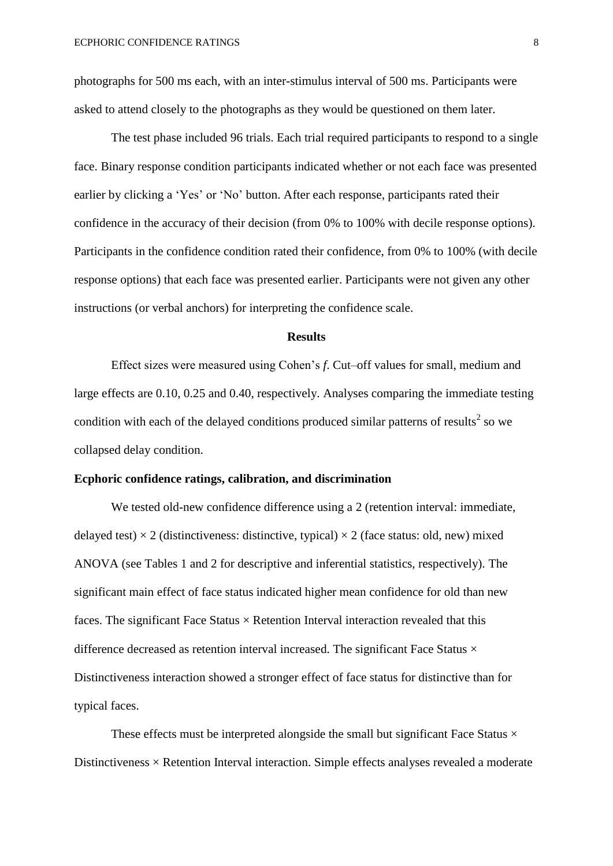photographs for 500 ms each, with an inter-stimulus interval of 500 ms. Participants were asked to attend closely to the photographs as they would be questioned on them later.

The test phase included 96 trials. Each trial required participants to respond to a single face. Binary response condition participants indicated whether or not each face was presented earlier by clicking a 'Yes' or 'No' button. After each response, participants rated their confidence in the accuracy of their decision (from 0% to 100% with decile response options). Participants in the confidence condition rated their confidence, from 0% to 100% (with decile response options) that each face was presented earlier. Participants were not given any other instructions (or verbal anchors) for interpreting the confidence scale.

#### **Results**

Effect sizes were measured using Cohen's *f*. Cut–off values for small, medium and large effects are 0.10, 0.25 and 0.40, respectively. Analyses comparing the immediate testing condition with each of the delayed conditions produced similar patterns of results<sup>2</sup> so we collapsed delay condition.

### **Ecphoric confidence ratings, calibration, and discrimination**

We tested old-new confidence difference using a 2 (retention interval: immediate, delayed test)  $\times$  2 (distinctiveness: distinctive, typical)  $\times$  2 (face status: old, new) mixed ANOVA (see Tables 1 and 2 for descriptive and inferential statistics, respectively). The significant main effect of face status indicated higher mean confidence for old than new faces. The significant Face Status  $\times$  Retention Interval interaction revealed that this difference decreased as retention interval increased. The significant Face Status  $\times$ Distinctiveness interaction showed a stronger effect of face status for distinctive than for typical faces.

These effects must be interpreted alongside the small but significant Face Status  $\times$ Distinctiveness  $\times$  Retention Interval interaction. Simple effects analyses revealed a moderate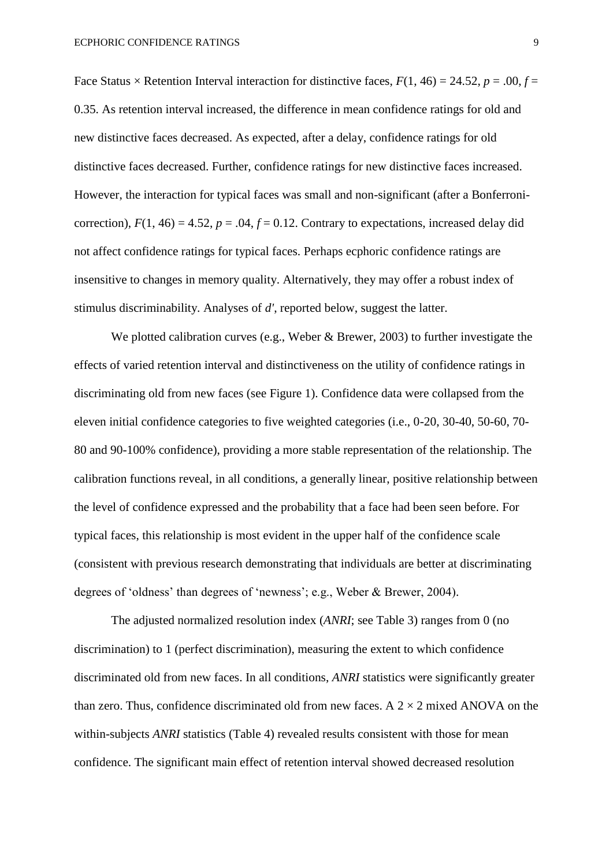Face Status  $\times$  Retention Interval interaction for distinctive faces,  $F(1, 46) = 24.52$ ,  $p = .00$ ,  $f =$ 0.35. As retention interval increased, the difference in mean confidence ratings for old and new distinctive faces decreased. As expected, after a delay, confidence ratings for old distinctive faces decreased. Further, confidence ratings for new distinctive faces increased. However, the interaction for typical faces was small and non-significant (after a Bonferronicorrection),  $F(1, 46) = 4.52$ ,  $p = .04$ ,  $f = 0.12$ . Contrary to expectations, increased delay did not affect confidence ratings for typical faces. Perhaps ecphoric confidence ratings are insensitive to changes in memory quality. Alternatively, they may offer a robust index of stimulus discriminability. Analyses of *d'*, reported below, suggest the latter.

We plotted calibration curves (e.g., Weber & Brewer, 2003) to further investigate the effects of varied retention interval and distinctiveness on the utility of confidence ratings in discriminating old from new faces (see Figure 1). Confidence data were collapsed from the eleven initial confidence categories to five weighted categories (i.e., 0-20, 30-40, 50-60, 70- 80 and 90-100% confidence), providing a more stable representation of the relationship. The calibration functions reveal, in all conditions, a generally linear, positive relationship between the level of confidence expressed and the probability that a face had been seen before. For typical faces, this relationship is most evident in the upper half of the confidence scale (consistent with previous research demonstrating that individuals are better at discriminating degrees of 'oldness' than degrees of 'newness'; e.g., Weber & Brewer, 2004).

The adjusted normalized resolution index (*ANRI*; see Table 3) ranges from 0 (no discrimination) to 1 (perfect discrimination), measuring the extent to which confidence discriminated old from new faces. In all conditions, *ANRI* statistics were significantly greater than zero. Thus, confidence discriminated old from new faces. A  $2 \times 2$  mixed ANOVA on the within-subjects *ANRI* statistics (Table 4) revealed results consistent with those for mean confidence. The significant main effect of retention interval showed decreased resolution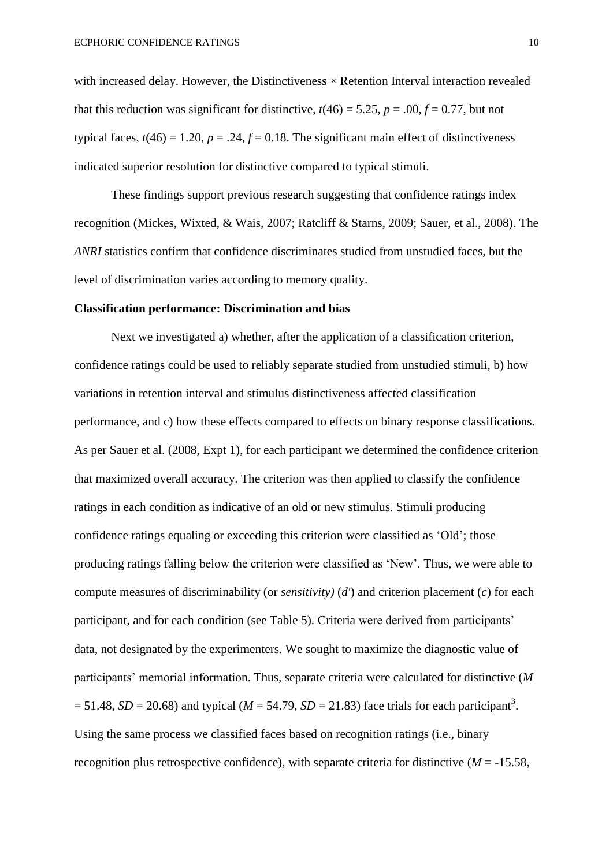with increased delay. However, the Distinctiveness  $\times$  Retention Interval interaction revealed that this reduction was significant for distinctive,  $t(46) = 5.25$ ,  $p = .00$ ,  $f = 0.77$ , but not typical faces,  $t(46) = 1.20$ ,  $p = .24$ ,  $f = 0.18$ . The significant main effect of distinctiveness indicated superior resolution for distinctive compared to typical stimuli.

These findings support previous research suggesting that confidence ratings index recognition (Mickes, Wixted, & Wais, 2007; Ratcliff & Starns, 2009; Sauer, et al., 2008). The *ANRI* statistics confirm that confidence discriminates studied from unstudied faces, but the level of discrimination varies according to memory quality.

#### **Classification performance: Discrimination and bias**

Next we investigated a) whether, after the application of a classification criterion, confidence ratings could be used to reliably separate studied from unstudied stimuli, b) how variations in retention interval and stimulus distinctiveness affected classification performance, and c) how these effects compared to effects on binary response classifications. As per Sauer et al. (2008, Expt 1), for each participant we determined the confidence criterion that maximized overall accuracy. The criterion was then applied to classify the confidence ratings in each condition as indicative of an old or new stimulus. Stimuli producing confidence ratings equaling or exceeding this criterion were classified as 'Old'; those producing ratings falling below the criterion were classified as 'New'. Thus, we were able to compute measures of discriminability (or *sensitivity)* (*d'*) and criterion placement (*c*) for each participant, and for each condition (see Table 5). Criteria were derived from participants' data, not designated by the experimenters. We sought to maximize the diagnostic value of participants' memorial information. Thus, separate criteria were calculated for distinctive (*M*  $= 51.48$ , *SD* = 20.68) and typical (*M* = 54.79, *SD* = 21.83) face trials for each participant<sup>3</sup>. Using the same process we classified faces based on recognition ratings (i.e., binary recognition plus retrospective confidence), with separate criteria for distinctive ( $M = -15.58$ ,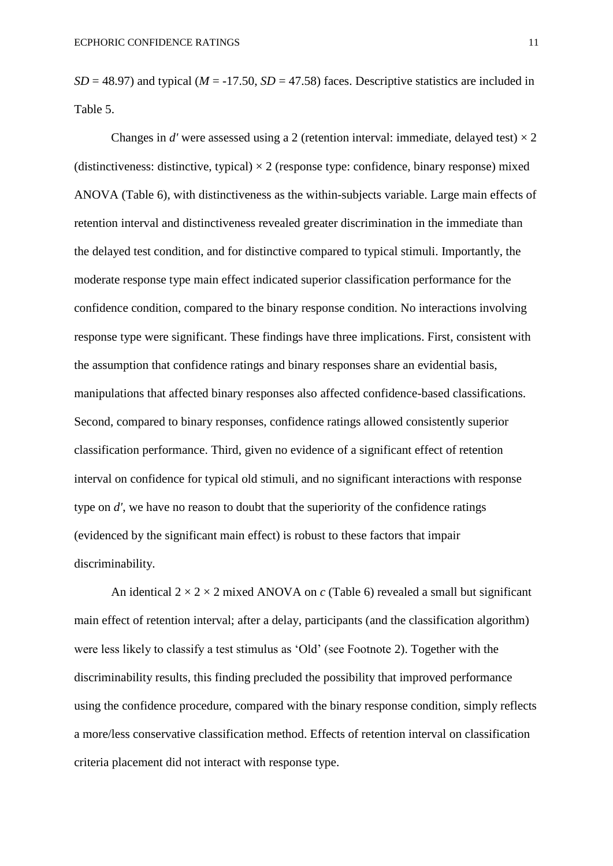$SD = 48.97$ ) and typical ( $M = -17.50$ ,  $SD = 47.58$ ) faces. Descriptive statistics are included in Table 5.

Changes in *d'* were assessed using a 2 (retention interval: immediate, delayed test)  $\times$  2 (distinctiveness: distinctive, typical)  $\times$  2 (response type: confidence, binary response) mixed ANOVA (Table 6), with distinctiveness as the within-subjects variable. Large main effects of retention interval and distinctiveness revealed greater discrimination in the immediate than the delayed test condition, and for distinctive compared to typical stimuli. Importantly, the moderate response type main effect indicated superior classification performance for the confidence condition, compared to the binary response condition. No interactions involving response type were significant. These findings have three implications. First, consistent with the assumption that confidence ratings and binary responses share an evidential basis, manipulations that affected binary responses also affected confidence-based classifications. Second, compared to binary responses, confidence ratings allowed consistently superior classification performance. Third, given no evidence of a significant effect of retention interval on confidence for typical old stimuli, and no significant interactions with response type on *d'*, we have no reason to doubt that the superiority of the confidence ratings (evidenced by the significant main effect) is robust to these factors that impair discriminability.

An identical  $2 \times 2 \times 2$  mixed ANOVA on *c* (Table 6) revealed a small but significant main effect of retention interval; after a delay, participants (and the classification algorithm) were less likely to classify a test stimulus as 'Old' (see Footnote 2). Together with the discriminability results, this finding precluded the possibility that improved performance using the confidence procedure, compared with the binary response condition, simply reflects a more/less conservative classification method. Effects of retention interval on classification criteria placement did not interact with response type.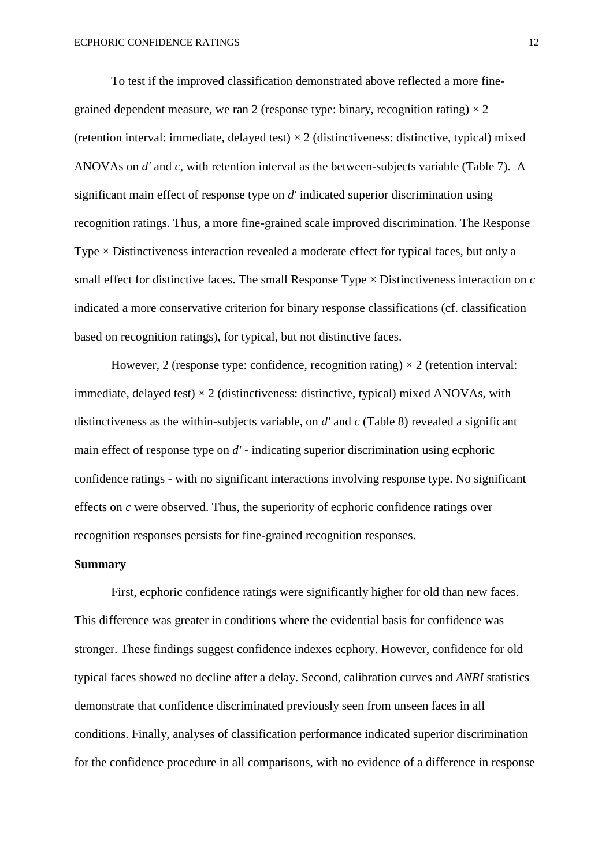To test if the improved classification demonstrated above reflected a more finegrained dependent measure, we ran 2 (response type: binary, recognition rating)  $\times$  2 (retention interval: immediate, delayed test)  $\times$  2 (distinctiveness: distinctive, typical) mixed ANOVAs on *d'* and *c*, with retention interval as the between-subjects variable (Table 7). A significant main effect of response type on *d'* indicated superior discrimination using recognition ratings. Thus, a more fine-grained scale improved discrimination. The Response Type × Distinctiveness interaction revealed a moderate effect for typical faces, but only a small effect for distinctive faces. The small Response Type × Distinctiveness interaction on *c* indicated a more conservative criterion for binary response classifications (cf. classification based on recognition ratings), for typical, but not distinctive faces.

However, 2 (response type: confidence, recognition rating)  $\times$  2 (retention interval: immediate, delayed test)  $\times$  2 (distinctiveness: distinctive, typical) mixed ANOVAs, with distinctiveness as the within-subjects variable, on *d'* and *c* (Table 8) revealed a significant main effect of response type on *d'* - indicating superior discrimination using ecphoric confidence ratings - with no significant interactions involving response type. No significant effects on *c* were observed. Thus, the superiority of ecphoric confidence ratings over recognition responses persists for fine-grained recognition responses.

### **Summary**

First, ecphoric confidence ratings were significantly higher for old than new faces. This difference was greater in conditions where the evidential basis for confidence was stronger. These findings suggest confidence indexes ecphory. However, confidence for old typical faces showed no decline after a delay. Second, calibration curves and *ANRI* statistics demonstrate that confidence discriminated previously seen from unseen faces in all conditions. Finally, analyses of classification performance indicated superior discrimination for the confidence procedure in all comparisons, with no evidence of a difference in response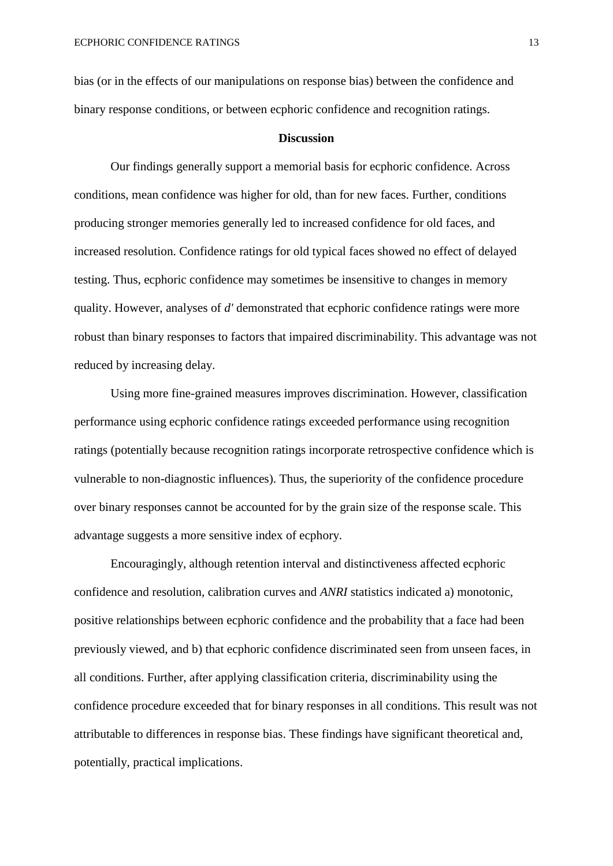bias (or in the effects of our manipulations on response bias) between the confidence and binary response conditions, or between ecphoric confidence and recognition ratings.

#### **Discussion**

Our findings generally support a memorial basis for ecphoric confidence. Across conditions, mean confidence was higher for old, than for new faces. Further, conditions producing stronger memories generally led to increased confidence for old faces, and increased resolution. Confidence ratings for old typical faces showed no effect of delayed testing. Thus, ecphoric confidence may sometimes be insensitive to changes in memory quality. However, analyses of *d'* demonstrated that ecphoric confidence ratings were more robust than binary responses to factors that impaired discriminability. This advantage was not reduced by increasing delay.

Using more fine-grained measures improves discrimination. However, classification performance using ecphoric confidence ratings exceeded performance using recognition ratings (potentially because recognition ratings incorporate retrospective confidence which is vulnerable to non-diagnostic influences). Thus, the superiority of the confidence procedure over binary responses cannot be accounted for by the grain size of the response scale. This advantage suggests a more sensitive index of ecphory.

Encouragingly, although retention interval and distinctiveness affected ecphoric confidence and resolution, calibration curves and *ANRI* statistics indicated a) monotonic, positive relationships between ecphoric confidence and the probability that a face had been previously viewed, and b) that ecphoric confidence discriminated seen from unseen faces, in all conditions. Further, after applying classification criteria, discriminability using the confidence procedure exceeded that for binary responses in all conditions. This result was not attributable to differences in response bias. These findings have significant theoretical and, potentially, practical implications.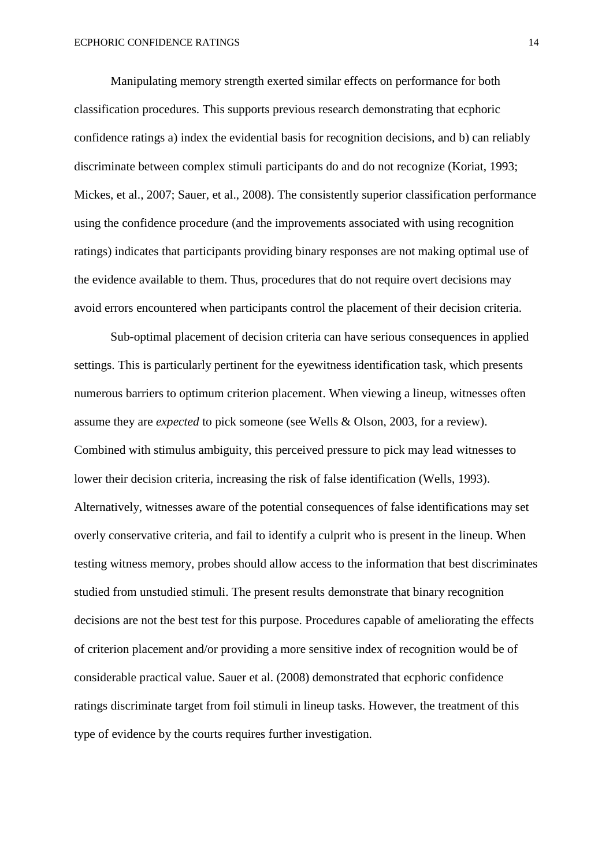Manipulating memory strength exerted similar effects on performance for both classification procedures. This supports previous research demonstrating that ecphoric confidence ratings a) index the evidential basis for recognition decisions, and b) can reliably discriminate between complex stimuli participants do and do not recognize (Koriat, 1993; Mickes, et al., 2007; Sauer, et al., 2008). The consistently superior classification performance using the confidence procedure (and the improvements associated with using recognition ratings) indicates that participants providing binary responses are not making optimal use of the evidence available to them. Thus, procedures that do not require overt decisions may avoid errors encountered when participants control the placement of their decision criteria.

Sub-optimal placement of decision criteria can have serious consequences in applied settings. This is particularly pertinent for the eyewitness identification task, which presents numerous barriers to optimum criterion placement. When viewing a lineup, witnesses often assume they are *expected* to pick someone (see Wells & Olson, 2003, for a review). Combined with stimulus ambiguity, this perceived pressure to pick may lead witnesses to lower their decision criteria, increasing the risk of false identification (Wells, 1993). Alternatively, witnesses aware of the potential consequences of false identifications may set overly conservative criteria, and fail to identify a culprit who is present in the lineup. When testing witness memory, probes should allow access to the information that best discriminates studied from unstudied stimuli. The present results demonstrate that binary recognition decisions are not the best test for this purpose. Procedures capable of ameliorating the effects of criterion placement and/or providing a more sensitive index of recognition would be of considerable practical value. Sauer et al. (2008) demonstrated that ecphoric confidence ratings discriminate target from foil stimuli in lineup tasks. However, the treatment of this type of evidence by the courts requires further investigation.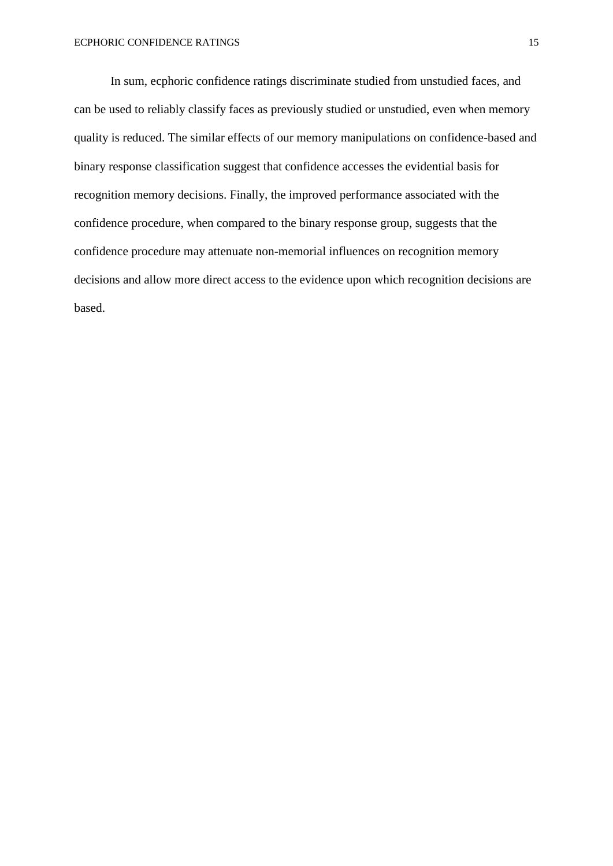In sum, ecphoric confidence ratings discriminate studied from unstudied faces, and can be used to reliably classify faces as previously studied or unstudied, even when memory quality is reduced. The similar effects of our memory manipulations on confidence-based and binary response classification suggest that confidence accesses the evidential basis for recognition memory decisions. Finally, the improved performance associated with the confidence procedure, when compared to the binary response group, suggests that the confidence procedure may attenuate non-memorial influences on recognition memory decisions and allow more direct access to the evidence upon which recognition decisions are based.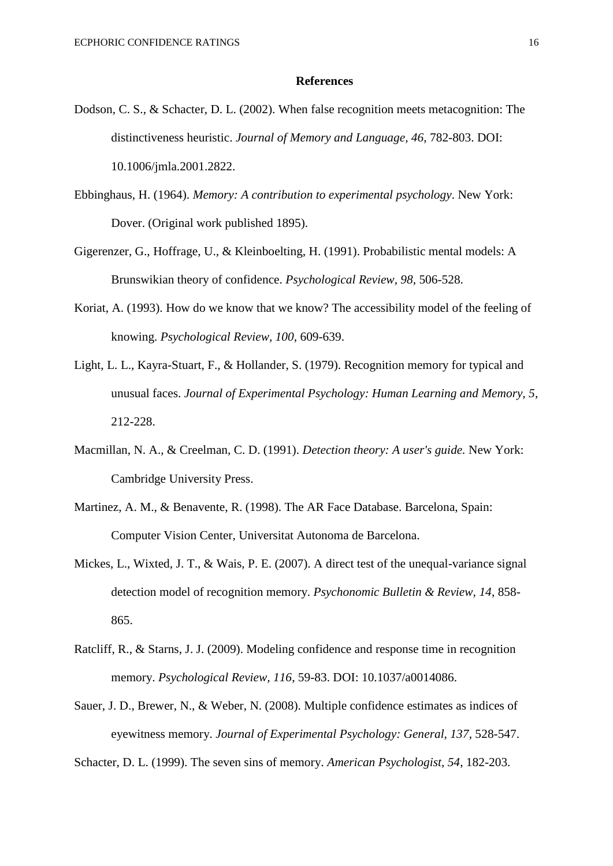#### **References**

- Dodson, C. S., & Schacter, D. L. (2002). When false recognition meets metacognition: The distinctiveness heuristic. *Journal of Memory and Language, 46*, 782-803. DOI: 10.1006/jmla.2001.2822.
- Ebbinghaus, H. (1964). *Memory: A contribution to experimental psychology*. New York: Dover. (Original work published 1895).
- Gigerenzer, G., Hoffrage, U., & Kleinboelting, H. (1991). Probabilistic mental models: A Brunswikian theory of confidence. *Psychological Review, 98*, 506-528.
- Koriat, A. (1993). How do we know that we know? The accessibility model of the feeling of knowing. *Psychological Review, 100*, 609-639.
- Light, L. L., Kayra-Stuart, F., & Hollander, S. (1979). Recognition memory for typical and unusual faces. *Journal of Experimental Psychology: Human Learning and Memory, 5*, 212-228.
- Macmillan, N. A., & Creelman, C. D. (1991). *Detection theory: A user's guide.* New York: Cambridge University Press.
- Martinez, A. M., & Benavente, R. (1998). The AR Face Database. Barcelona, Spain: Computer Vision Center, Universitat Autonoma de Barcelona.
- Mickes, L., Wixted, J. T., & Wais, P. E. (2007). A direct test of the unequal-variance signal detection model of recognition memory. *Psychonomic Bulletin & Review, 14*, 858- 865.
- Ratcliff, R., & Starns, J. J. (2009). Modeling confidence and response time in recognition memory. *Psychological Review, 116*, 59-83. DOI: 10.1037/a0014086.
- Sauer, J. D., Brewer, N., & Weber, N. (2008). Multiple confidence estimates as indices of eyewitness memory. *Journal of Experimental Psychology: General, 137*, 528-547.

Schacter, D. L. (1999). The seven sins of memory. *American Psychologist, 54*, 182-203.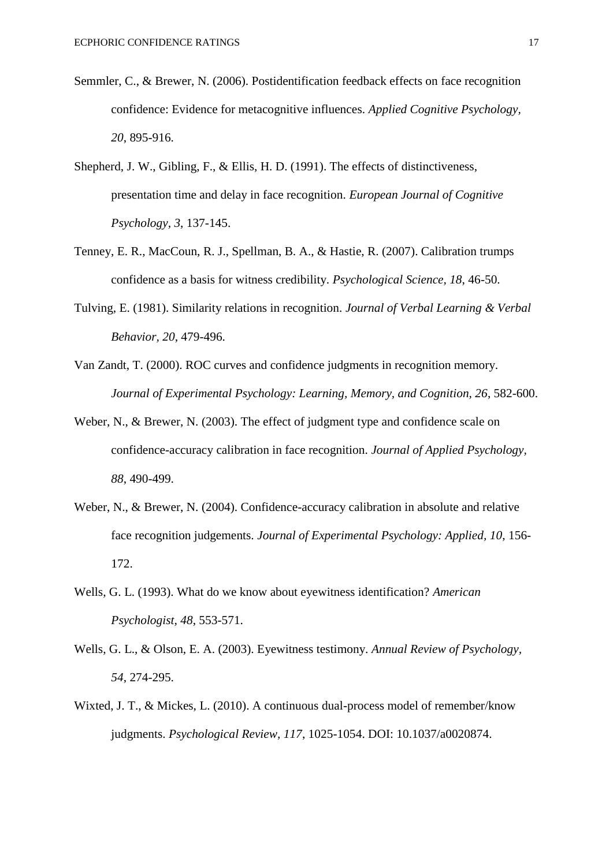- Semmler, C., & Brewer, N. (2006). Postidentification feedback effects on face recognition confidence: Evidence for metacognitive influences. *Applied Cognitive Psychology, 20*, 895-916.
- Shepherd, J. W., Gibling, F., & Ellis, H. D. (1991). The effects of distinctiveness, presentation time and delay in face recognition. *European Journal of Cognitive Psychology, 3*, 137-145.
- Tenney, E. R., MacCoun, R. J., Spellman, B. A., & Hastie, R. (2007). Calibration trumps confidence as a basis for witness credibility. *Psychological Science, 18*, 46-50.
- Tulving, E. (1981). Similarity relations in recognition. *Journal of Verbal Learning & Verbal Behavior, 20*, 479-496.
- Van Zandt, T. (2000). ROC curves and confidence judgments in recognition memory. *Journal of Experimental Psychology: Learning, Memory, and Cognition, 26*, 582-600.
- Weber, N., & Brewer, N. (2003). The effect of judgment type and confidence scale on confidence-accuracy calibration in face recognition. *Journal of Applied Psychology, 88*, 490-499.
- Weber, N., & Brewer, N. (2004). Confidence-accuracy calibration in absolute and relative face recognition judgements. *Journal of Experimental Psychology: Applied, 10*, 156- 172.
- Wells, G. L. (1993). What do we know about eyewitness identification? *American Psychologist, 48*, 553-571.
- Wells, G. L., & Olson, E. A. (2003). Eyewitness testimony. *Annual Review of Psychology, 54*, 274-295.
- Wixted, J. T., & Mickes, L. (2010). A continuous dual-process model of remember/know judgments. *Psychological Review, 117*, 1025-1054. DOI: 10.1037/a0020874.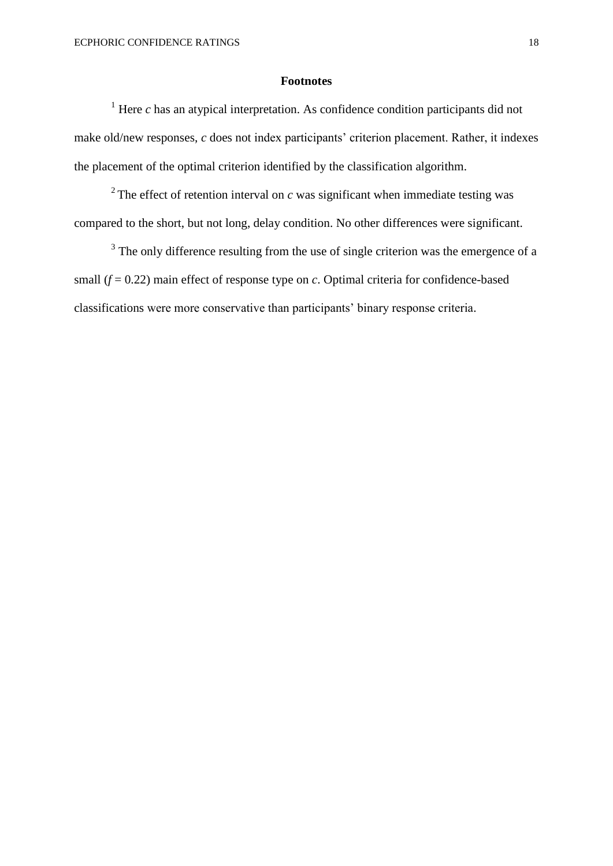#### **Footnotes**

<sup>1</sup> Here *c* has an atypical interpretation. As confidence condition participants did not make old/new responses, *c* does not index participants' criterion placement. Rather, it indexes the placement of the optimal criterion identified by the classification algorithm.

<sup>2</sup> The effect of retention interval on  $c$  was significant when immediate testing was compared to the short, but not long, delay condition. No other differences were significant.

 $3$  The only difference resulting from the use of single criterion was the emergence of a small  $(f = 0.22)$  main effect of response type on *c*. Optimal criteria for confidence-based classifications were more conservative than participants' binary response criteria.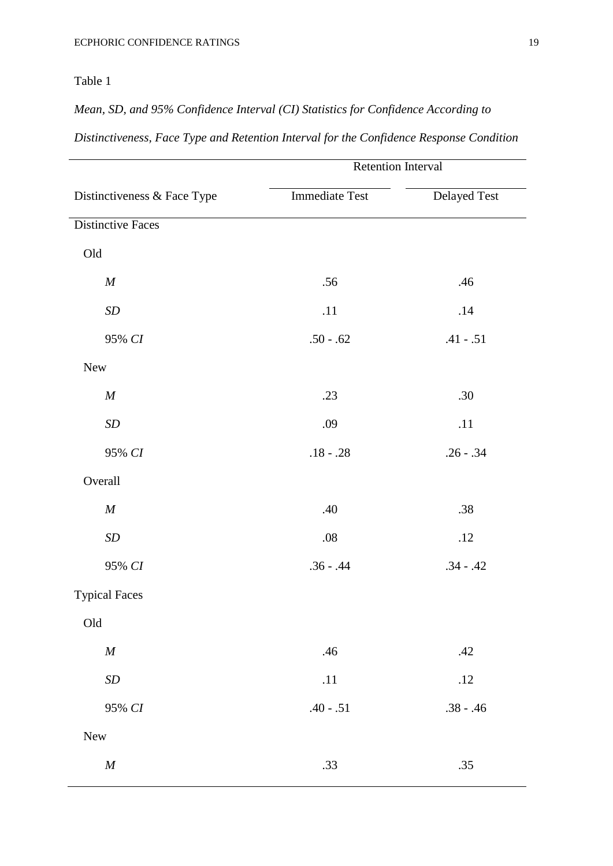*Mean, SD, and 95% Confidence Interval (CI) Statistics for Confidence According to*

| <b>Retention Interval</b> |              |  |  |  |  |
|---------------------------|--------------|--|--|--|--|
| <b>Immediate Test</b>     | Delayed Test |  |  |  |  |
|                           |              |  |  |  |  |
|                           |              |  |  |  |  |
| .56                       | .46          |  |  |  |  |
| .11                       | .14          |  |  |  |  |
| $.50 - .62$               | $.41 - .51$  |  |  |  |  |
|                           |              |  |  |  |  |
| .23                       | .30          |  |  |  |  |
| .09                       | .11          |  |  |  |  |
| $.18 - .28$               | $.26 - .34$  |  |  |  |  |
|                           |              |  |  |  |  |
| .40                       | .38          |  |  |  |  |
| .08                       | .12          |  |  |  |  |
| $.36 - .44$               | $.34 - .42$  |  |  |  |  |
|                           |              |  |  |  |  |
|                           |              |  |  |  |  |
| .46                       | .42          |  |  |  |  |
| .11                       | .12          |  |  |  |  |
| $.40 - .51$               | $.38 - .46$  |  |  |  |  |
|                           |              |  |  |  |  |
| .33                       | .35          |  |  |  |  |
|                           |              |  |  |  |  |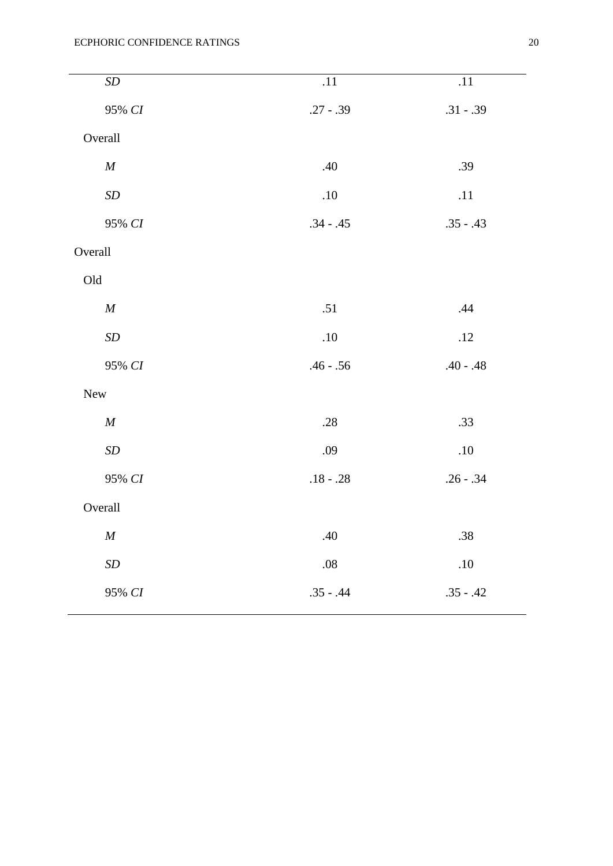| $\cal SD$          | .11         | .11         |
|--------------------|-------------|-------------|
| 95% CI             | $.27 - .39$ | $.31 - .39$ |
| Overall            |             |             |
| $\cal M$           | .40         | .39         |
| $\cal SD$          | $.10\,$     | .11         |
| 95% CI             | $.34 - .45$ | $.35 - .43$ |
| Overall            |             |             |
| $\mathop{\rm Old}$ |             |             |
| $\cal M$           | .51         | .44         |
| $\cal SD$          | $.10\,$     | $.12$       |
| 95% CI             | $.46 - .56$ | $.40 - .48$ |
| New                |             |             |
| $\boldsymbol{M}$   | .28         | .33         |
| $\cal SD$          | .09         | $.10\,$     |
| 95% CI             | $.18 - .28$ | $.26 - .34$ |
| Overall            |             |             |
| $\cal M$           | $.40\,$     | .38         |
| $\boldsymbol{SD}$  | $.08\,$     | $.10\,$     |
| 95% CI             | $.35 - .44$ | $.35 - .42$ |
|                    |             |             |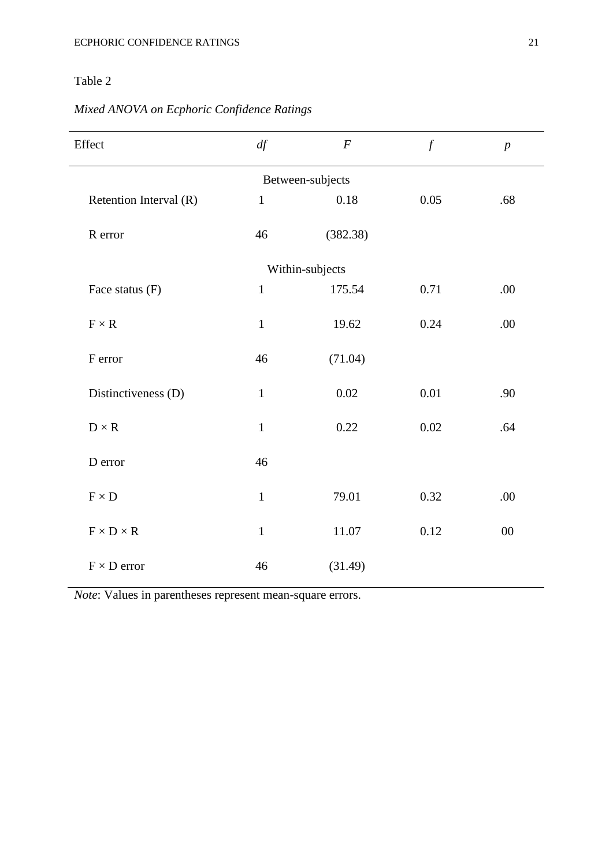# *Mixed ANOVA on Ecphoric Confidence Ratings*

| Effect                       | df           | $\boldsymbol{F}$ | $\mathcal{f}$ | $\boldsymbol{p}$ |  |  |  |  |  |
|------------------------------|--------------|------------------|---------------|------------------|--|--|--|--|--|
| Between-subjects             |              |                  |               |                  |  |  |  |  |  |
| Retention Interval (R)       | $\mathbf{1}$ | 0.18             | 0.05          | .68              |  |  |  |  |  |
| R error                      | 46           | (382.38)         |               |                  |  |  |  |  |  |
|                              |              | Within-subjects  |               |                  |  |  |  |  |  |
| Face status (F)              | $\mathbf{1}$ | 175.54           | 0.71          | .00              |  |  |  |  |  |
| $F \times R$                 | $\mathbf 1$  | 19.62            | 0.24          | .00              |  |  |  |  |  |
| F error                      | 46           | (71.04)          |               |                  |  |  |  |  |  |
| Distinctiveness (D)          | $\mathbf 1$  | 0.02             | $0.01\,$      | .90              |  |  |  |  |  |
| $D\times R$                  | $\mathbf 1$  | 0.22             | $0.02\,$      | .64              |  |  |  |  |  |
| D error                      | 46           |                  |               |                  |  |  |  |  |  |
| $\textbf{F}\times\textbf{D}$ | $\mathbf{1}$ | 79.01            | 0.32          | .00              |  |  |  |  |  |
| $F \times D \times R$        | $\mathbf{1}$ | 11.07            | 0.12          | $00\,$           |  |  |  |  |  |
| $F \times D$ error           | 46           | (31.49)          |               |                  |  |  |  |  |  |

*Note*: Values in parentheses represent mean-square errors.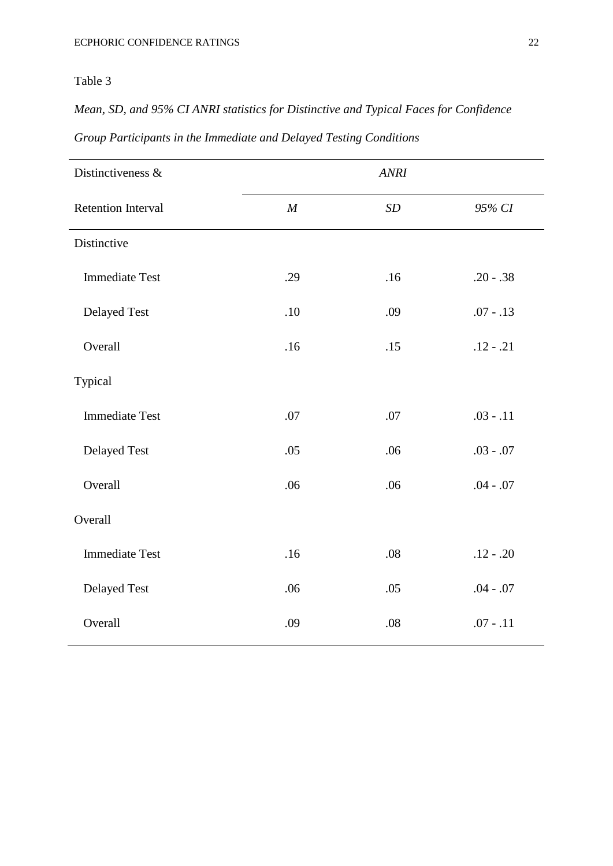*Mean, SD, and 95% CI ANRI statistics for Distinctive and Typical Faces for Confidence* 

| Distinctiveness &         | <b>ANRI</b> |                   |             |  |  |
|---------------------------|-------------|-------------------|-------------|--|--|
| <b>Retention Interval</b> | M           | $\boldsymbol{SD}$ | 95% CI      |  |  |
| Distinctive               |             |                   |             |  |  |
| <b>Immediate Test</b>     | .29         | .16               | $.20 - .38$ |  |  |
| Delayed Test              | .10         | .09               | $.07 - .13$ |  |  |
| Overall                   | .16         | .15               | $.12 - .21$ |  |  |
| Typical                   |             |                   |             |  |  |
| <b>Immediate Test</b>     | .07         | .07               | $.03 - .11$ |  |  |
| <b>Delayed Test</b>       | .05         | .06               | $.03 - .07$ |  |  |
| Overall                   | .06         | .06               | $.04 - .07$ |  |  |
| Overall                   |             |                   |             |  |  |
| <b>Immediate Test</b>     | .16         | .08               | $.12 - .20$ |  |  |
| <b>Delayed Test</b>       | .06         | .05               | $.04 - .07$ |  |  |
| Overall                   | .09         | .08               | $.07 - .11$ |  |  |

*Group Participants in the Immediate and Delayed Testing Conditions*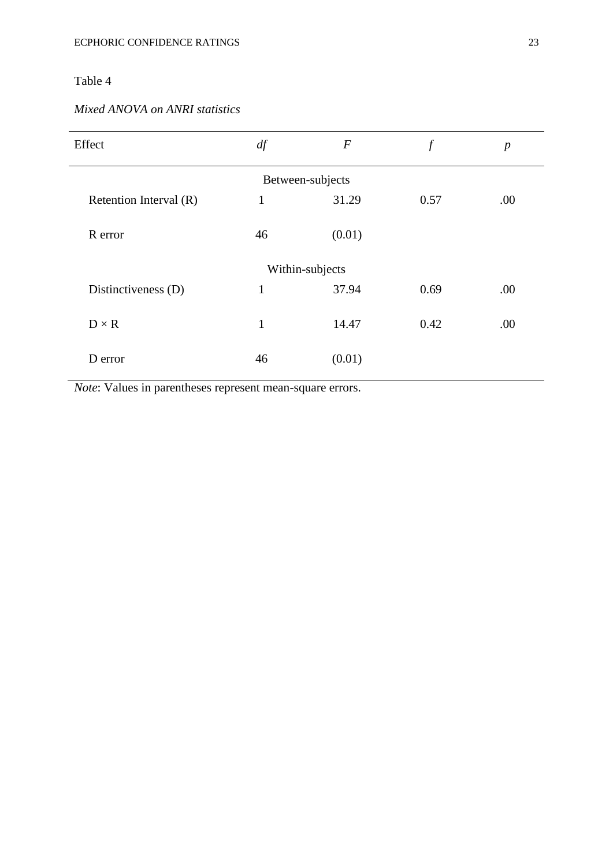### *Mixed ANOVA on ANRI statistics*

| Effect                 | df           | $\boldsymbol{F}$ | $\boldsymbol{f}$ | $\boldsymbol{p}$ |  |  |  |  |
|------------------------|--------------|------------------|------------------|------------------|--|--|--|--|
| Between-subjects       |              |                  |                  |                  |  |  |  |  |
| Retention Interval (R) | 1            | 31.29            | 0.57             | .00              |  |  |  |  |
| R error                | 46           | (0.01)           |                  |                  |  |  |  |  |
|                        |              | Within-subjects  |                  |                  |  |  |  |  |
| Distinctiveness (D)    | $\mathbf{1}$ | 37.94            | 0.69             | .00              |  |  |  |  |
| $D \times R$           | $\mathbf{1}$ | 14.47            | 0.42             | .00              |  |  |  |  |
| D error                | 46           | (0.01)           |                  |                  |  |  |  |  |

*Note*: Values in parentheses represent mean-square errors.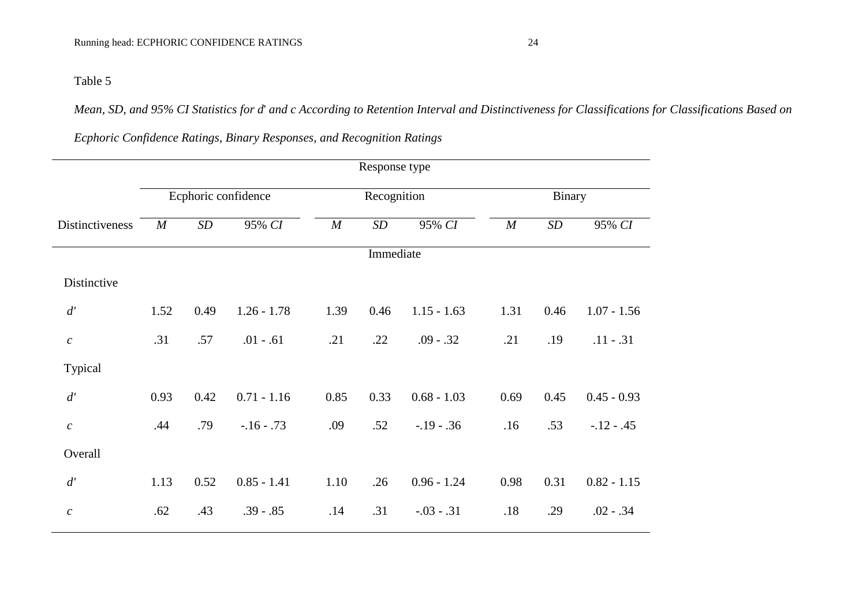*Mean, SD, and 95% CI Statistics for d*' *and c According to Retention Interval and Distinctiveness for Classifications for Classifications Based on* 

|                  |                     |      |               |                  | Response type     |               |                  |                   |               |
|------------------|---------------------|------|---------------|------------------|-------------------|---------------|------------------|-------------------|---------------|
|                  | Ecphoric confidence |      |               | Recognition      |                   |               | Binary           |                   |               |
| Distinctiveness  | $\boldsymbol{M}$    | SD   | 95% CI        | $\boldsymbol{M}$ | $\boldsymbol{SD}$ | 95% CI        | $\boldsymbol{M}$ | $\boldsymbol{SD}$ | 95% CI        |
|                  |                     |      |               |                  | Immediate         |               |                  |                   |               |
| Distinctive      |                     |      |               |                  |                   |               |                  |                   |               |
| d'               | 1.52                | 0.49 | $1.26 - 1.78$ | 1.39             | 0.46              | $1.15 - 1.63$ | 1.31             | 0.46              | $1.07 - 1.56$ |
| $\boldsymbol{c}$ | .31                 | .57  | $.01 - .61$   | .21              | .22               | $.09 - .32$   | .21              | .19               | $.11 - .31$   |
| Typical          |                     |      |               |                  |                   |               |                  |                   |               |
| d'               | 0.93                | 0.42 | $0.71 - 1.16$ | 0.85             | 0.33              | $0.68 - 1.03$ | 0.69             | 0.45              | $0.45 - 0.93$ |
| $\boldsymbol{c}$ | .44                 | .79  | $-16 - 73$    | .09              | .52               | $-.19 - .36$  | .16              | .53               | $-12 - 0.45$  |
| Overall          |                     |      |               |                  |                   |               |                  |                   |               |
| d'               | 1.13                | 0.52 | $0.85 - 1.41$ | 1.10             | .26               | $0.96 - 1.24$ | 0.98             | 0.31              | $0.82 - 1.15$ |
| $\boldsymbol{c}$ | .62                 | .43  | $.39 - .85$   | .14              | .31               | $-.03-.31$    | .18              | .29               | $.02 - .34$   |
|                  |                     |      |               |                  |                   |               |                  |                   |               |

*Ecphoric Confidence Ratings, Binary Responses, and Recognition Ratings*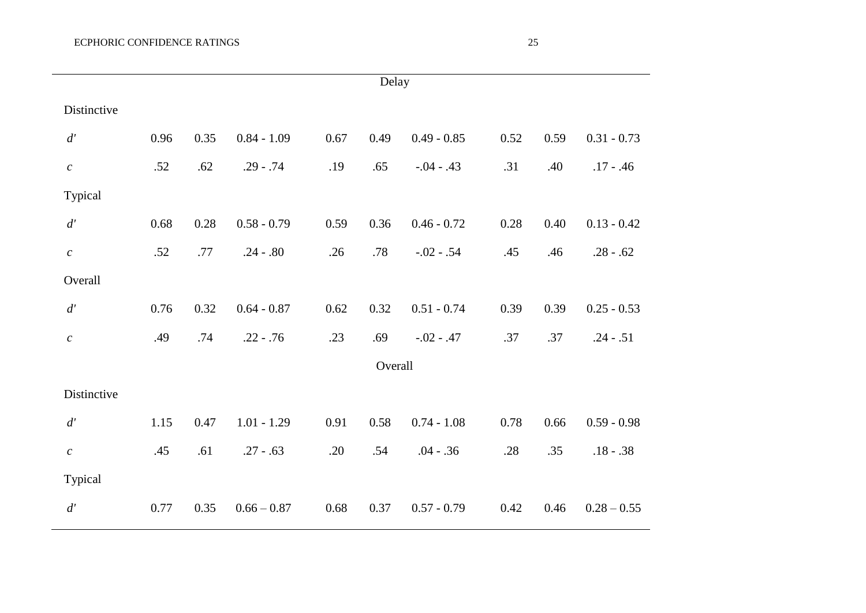|                   | Delay |      |               |      |         |               |      |      |               |
|-------------------|-------|------|---------------|------|---------|---------------|------|------|---------------|
| Distinctive       |       |      |               |      |         |               |      |      |               |
| d'                | 0.96  | 0.35 | $0.84 - 1.09$ | 0.67 | 0.49    | $0.49 - 0.85$ | 0.52 | 0.59 | $0.31 - 0.73$ |
| $\mathcal{C}_{0}$ | .52   | .62  | $.29 - .74$   | .19  | .65     | $-.04-.43$    | .31  | .40  | $.17 - .46$   |
| Typical           |       |      |               |      |         |               |      |      |               |
| $d^\prime$        | 0.68  | 0.28 | $0.58 - 0.79$ | 0.59 | 0.36    | $0.46 - 0.72$ | 0.28 | 0.40 | $0.13 - 0.42$ |
| $\boldsymbol{c}$  | .52   | .77  | $.24 - .80$   | .26  | .78     | $-.02-.54$    | .45  | .46  | $.28 - .62$   |
| Overall           |       |      |               |      |         |               |      |      |               |
| d'                | 0.76  | 0.32 | $0.64 - 0.87$ | 0.62 | 0.32    | $0.51 - 0.74$ | 0.39 | 0.39 | $0.25 - 0.53$ |
| $\boldsymbol{c}$  | .49   | .74  | $.22 - .76$   | .23  | .69     | $-.02-.47$    | .37  | .37  | $.24 - .51$   |
|                   |       |      |               |      | Overall |               |      |      |               |
| Distinctive       |       |      |               |      |         |               |      |      |               |
| $d^\prime$        | 1.15  | 0.47 | $1.01 - 1.29$ | 0.91 | 0.58    | $0.74 - 1.08$ | 0.78 | 0.66 | $0.59 - 0.98$ |
| $\boldsymbol{c}$  | .45   | .61  | $.27 - .63$   | .20  | .54     | $.04 - .36$   | .28  | .35  | $.18 - .38$   |
| Typical           |       |      |               |      |         |               |      |      |               |
| d'                | 0.77  | 0.35 | $0.66 - 0.87$ | 0.68 | 0.37    | $0.57 - 0.79$ | 0.42 | 0.46 | $0.28 - 0.55$ |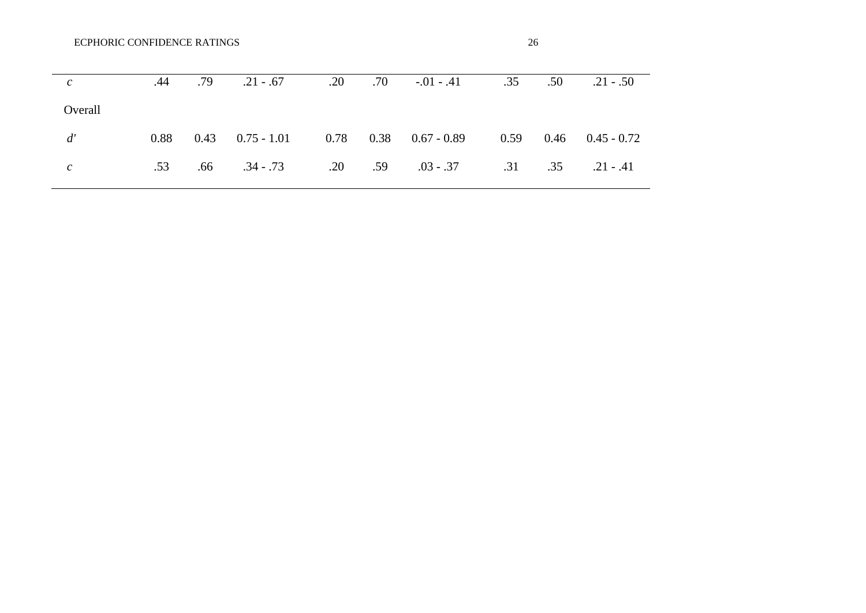| ٧       |  |
|---------|--|
| ×<br>۰. |  |

| $\mathcal{C}$ | .44  | .79 | $.21-.67$ | .20 | .70 | $-.01-.41$ .35                                                | .50 | $.21 - .50$                 |
|---------------|------|-----|-----------|-----|-----|---------------------------------------------------------------|-----|-----------------------------|
| Overall       |      |     |           |     |     |                                                               |     |                             |
| d'            | 0.88 |     |           |     |     | $0.43$ $0.75 - 1.01$ $0.78$ $0.38$ $0.67 - 0.89$              |     | $0.59$ $0.46$ $0.45 - 0.72$ |
| $\mathcal{C}$ | .53  |     |           |     |     | $0.66$ $0.34 - 0.73$ $0.20$ $0.59$ $0.3 - 0.37$ $0.31$ $0.35$ |     | $.21 - .41$                 |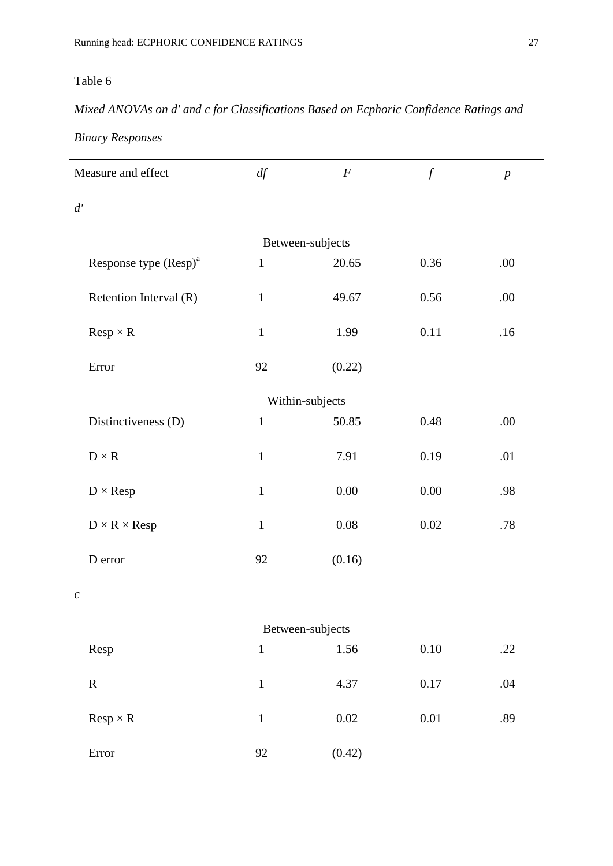# *Mixed ANOVAs on d' and c for Classifications Based on Ecphoric Confidence Ratings and*

### *Binary Responses*

| Measure and effect                | df           | $\boldsymbol{F}$ | $\mathcal{f}$ | $\boldsymbol{p}$ |  |  |  |  |  |  |
|-----------------------------------|--------------|------------------|---------------|------------------|--|--|--|--|--|--|
| d'                                |              |                  |               |                  |  |  |  |  |  |  |
| Between-subjects                  |              |                  |               |                  |  |  |  |  |  |  |
| Response type (Resp) <sup>a</sup> | $\mathbf{1}$ | 20.65            | 0.36          | .00              |  |  |  |  |  |  |
| Retention Interval (R)            | $\mathbf{1}$ | 49.67            | 0.56          | .00              |  |  |  |  |  |  |
| $Resp \times R$                   | $\mathbf 1$  | 1.99             | 0.11          | .16              |  |  |  |  |  |  |
| Error                             | 92           | (0.22)           |               |                  |  |  |  |  |  |  |
| Within-subjects                   |              |                  |               |                  |  |  |  |  |  |  |
| Distinctiveness (D)               | $\mathbf{1}$ | 50.85            | 0.48          | .00              |  |  |  |  |  |  |
| $D\times R$                       | $\mathbf{1}$ | 7.91             | 0.19          | .01              |  |  |  |  |  |  |
| $D \times Resp$                   | $\mathbf{1}$ | 0.00             | $0.00\,$      | .98              |  |  |  |  |  |  |
| $D \times R \times Resp$          | $\mathbf{1}$ | $0.08\,$         | 0.02          | .78              |  |  |  |  |  |  |
| D error                           | 92           | (0.16)           |               |                  |  |  |  |  |  |  |
| $\mathcal C$                      |              |                  |               |                  |  |  |  |  |  |  |
|                                   |              | Between-subjects |               |                  |  |  |  |  |  |  |
| Resp                              | $\,1\,$      | 1.56             | $0.10\,$      | .22              |  |  |  |  |  |  |
| ${\bf R}$                         | $\,1$        | 4.37             | 0.17          | .04              |  |  |  |  |  |  |
| $Resp \times R$                   | $\mathbf 1$  | $0.02\,$         | $0.01\,$      | .89              |  |  |  |  |  |  |
| Error                             | 92           | (0.42)           |               |                  |  |  |  |  |  |  |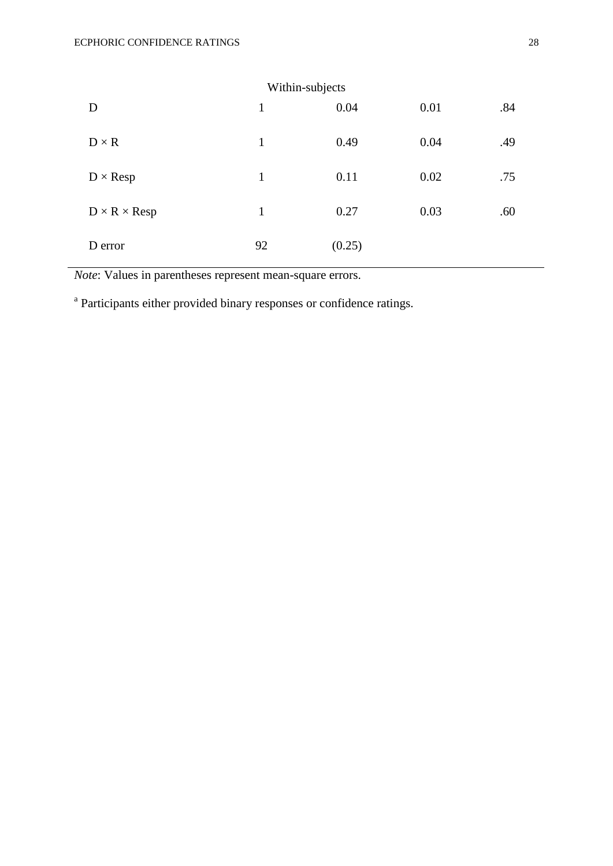| D                        | Within-subjects<br>$\mathbf{1}$ | 0.04   | 0.01 | .84 |
|--------------------------|---------------------------------|--------|------|-----|
| $D \times R$             | $\mathbf{1}$                    | 0.49   | 0.04 | .49 |
| $D \times Resp$          | $\mathbf{1}$                    | 0.11   | 0.02 | .75 |
| $D \times R \times Resp$ | $\mathbf{1}$                    | 0.27   | 0.03 | .60 |
| D error                  | 92                              | (0.25) |      |     |

*Note*: Values in parentheses represent mean-square errors.

<sup>a</sup> Participants either provided binary responses or confidence ratings.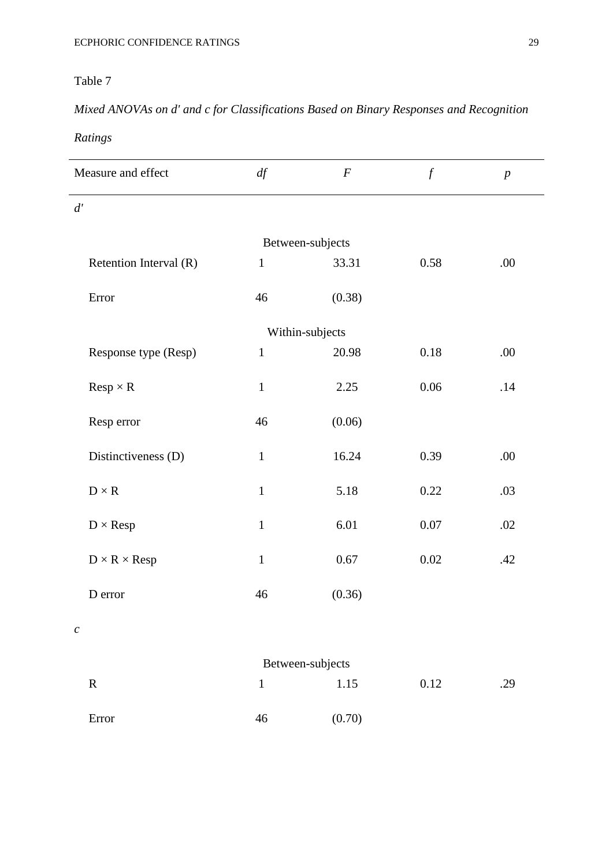# *Mixed ANOVAs on d' and c for Classifications Based on Binary Responses and Recognition*

# *Ratings*

| Measure and effect       | df               | $\boldsymbol{F}$ | $\int f$ | $\boldsymbol{p}$ |  |  |
|--------------------------|------------------|------------------|----------|------------------|--|--|
| d'                       |                  |                  |          |                  |  |  |
|                          | Between-subjects |                  |          |                  |  |  |
| Retention Interval (R)   | $\mathbf{1}$     | 33.31            | 0.58     | .00              |  |  |
| Error                    | 46               | (0.38)           |          |                  |  |  |
| Within-subjects          |                  |                  |          |                  |  |  |
| Response type (Resp)     | $\mathbf{1}$     | 20.98            | 0.18     | .00              |  |  |
| $Resp \times R$          | $\,1\,$          | 2.25             | 0.06     | .14              |  |  |
| Resp error               | 46               | (0.06)           |          |                  |  |  |
| Distinctiveness (D)      | $\mathbf{1}$     | 16.24            | 0.39     | .00              |  |  |
| $D\times R$              | $\mathbf{1}$     | 5.18             | 0.22     | .03              |  |  |
| $D \times Resp$          | $\mathbf 1$      | 6.01             | 0.07     | .02              |  |  |
| $D \times R \times Resp$ | $\mathbf{1}$     | 0.67             | 0.02     | .42              |  |  |
| D error                  | 46               | (0.36)           |          |                  |  |  |
| $\mathcal{C}_{0}^{0}$    |                  |                  |          |                  |  |  |

| Between-subjects |    |        |      |     |  |
|------------------|----|--------|------|-----|--|
| $\mathbf R$      |    | 1.15   | 0.12 | .29 |  |
| Error            | 46 | (0.70) |      |     |  |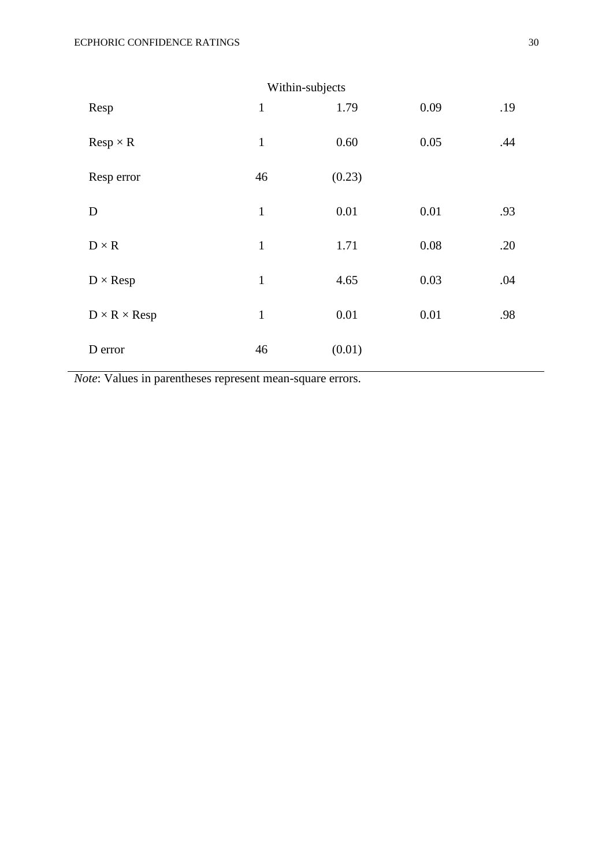| Within-subjects          |              |        |      |     |  |
|--------------------------|--------------|--------|------|-----|--|
| Resp                     | $\mathbf{1}$ | 1.79   | 0.09 | .19 |  |
| $Resp \times R$          | $\mathbf{1}$ | 0.60   | 0.05 | .44 |  |
| Resp error               | 46           | (0.23) |      |     |  |
| D                        | $\mathbf{1}$ | 0.01   | 0.01 | .93 |  |
| $D \times R$             | $\mathbf{1}$ | 1.71   | 0.08 | .20 |  |
| $D \times Resp$          | $\mathbf{1}$ | 4.65   | 0.03 | .04 |  |
| $D \times R \times Resp$ | $\mathbf{1}$ | 0.01   | 0.01 | .98 |  |
| D error                  | 46           | (0.01) |      |     |  |

*Note*: Values in parentheses represent mean-square errors.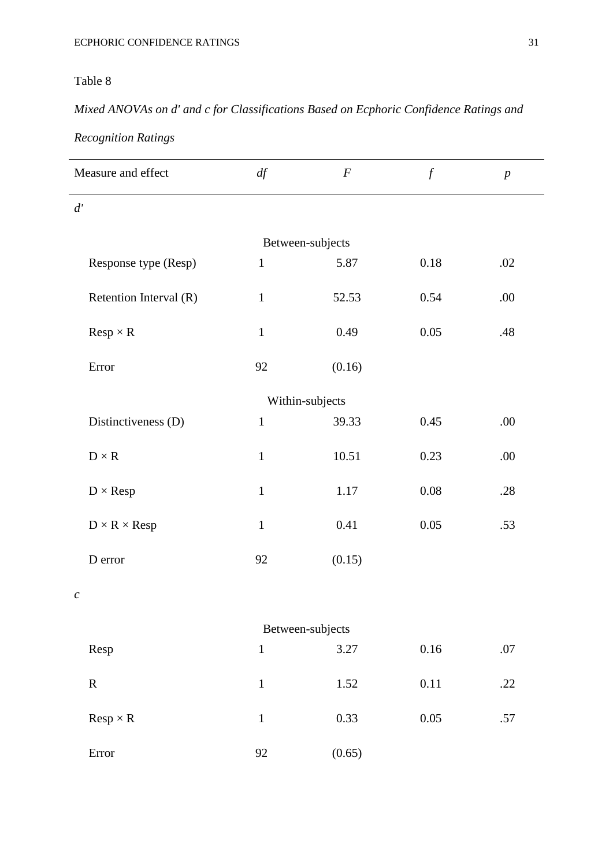# *Mixed ANOVAs on d' and c for Classifications Based on Ecphoric Confidence Ratings and*

# *Recognition Ratings*

| Measure and effect       | df           | $\boldsymbol{F}$ | $\int$   | $\boldsymbol{p}$ |  |  |
|--------------------------|--------------|------------------|----------|------------------|--|--|
| d'                       |              |                  |          |                  |  |  |
| Between-subjects         |              |                  |          |                  |  |  |
| Response type (Resp)     | $\mathbf{1}$ | 5.87             | $0.18\,$ | .02              |  |  |
| Retention Interval (R)   | $\mathbf 1$  | 52.53            | 0.54     | .00              |  |  |
| $Resp \times R$          | $\mathbf 1$  | 0.49             | 0.05     | .48              |  |  |
| Error                    | 92           | (0.16)           |          |                  |  |  |
| Within-subjects          |              |                  |          |                  |  |  |
| Distinctiveness (D)      | $\,1\,$      | 39.33            | 0.45     | .00              |  |  |
| $D\times R$              | $\mathbf{1}$ | 10.51            | 0.23     | .00              |  |  |
| $D \times Resp$          | $\mathbf 1$  | 1.17             | $0.08\,$ | .28              |  |  |
| $D \times R \times Resp$ | $\mathbf 1$  | 0.41             | 0.05     | .53              |  |  |
| D error                  | 92           | (0.15)           |          |                  |  |  |
| $\boldsymbol{c}$         |              |                  |          |                  |  |  |
| Between-subjects         |              |                  |          |                  |  |  |
| Resp                     | $\mathbf 1$  | 3.27             | $0.16\,$ | .07              |  |  |
| ${\bf R}$                | $\mathbf 1$  | 1.52             | 0.11     | .22              |  |  |
| $Resp \times R$          | $\mathbf 1$  | 0.33             | $0.05\,$ | .57              |  |  |
| Error                    | 92           | (0.65)           |          |                  |  |  |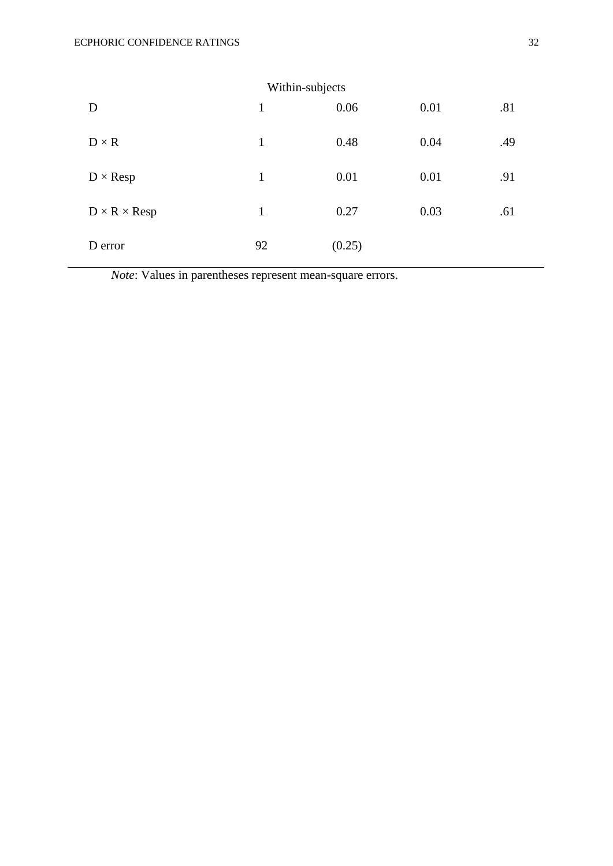| D                        | Within-subjects<br>$\mathbf{1}$ | 0.06   | 0.01 | .81 |
|--------------------------|---------------------------------|--------|------|-----|
| $D \times R$             | $\mathbf{1}$                    | 0.48   | 0.04 | .49 |
| $D \times Resp$          | $\mathbf{1}$                    | 0.01   | 0.01 | .91 |
| $D \times R \times Resp$ | $\mathbf{1}$                    | 0.27   | 0.03 | .61 |
| D error                  | 92                              | (0.25) |      |     |

*Note*: Values in parentheses represent mean-square errors.